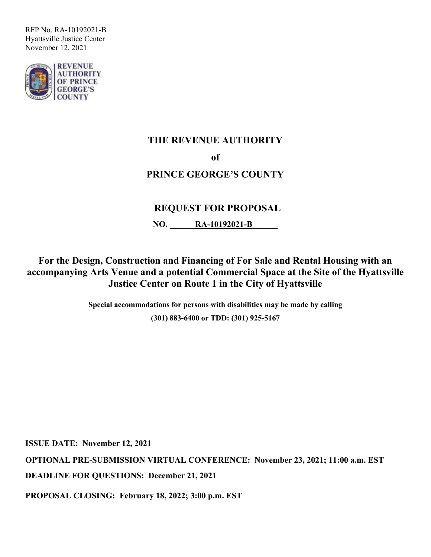

# **THE REVENUE AUTHORITY of PRINCE GEORGE'S COUNTY**

# **REQUEST FOR PROPOSAL**

**NO. RA-10192021-B** 

**For the Design, Construction and Financing of For Sale and Rental Housing with an accompanying Arts Venue and a potential Commercial Space at the Site of the Hyattsville Justice Center on Route 1 in the City of Hyattsville**

> **Special accommodations for persons with disabilities may be made by calling (301) 883-6400 or TDD: (301) 925-5167**

**ISSUE DATE: November 12, 2021**

**OPTIONAL PRE-SUBMISSION VIRTUAL CONFERENCE: November 23, 2021; 11:00 a.m. EST DEADLINE FOR QUESTIONS: December 21, 2021**

**PROPOSAL CLOSING: February 18, 2022; 3:00 p.m. EST**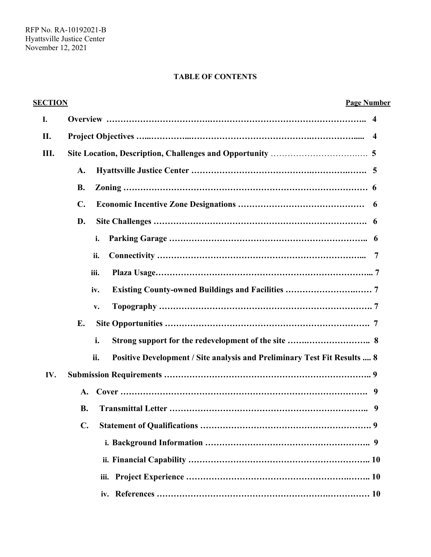### **TABLE OF CONTENTS**

| <b>SECTION</b> | <b>Page Number</b>                                                                     |
|----------------|----------------------------------------------------------------------------------------|
| I.             |                                                                                        |
| П.             | $\boldsymbol{4}$                                                                       |
| Ш.             |                                                                                        |
|                | A.                                                                                     |
|                | <b>B.</b>                                                                              |
|                | C.                                                                                     |
|                | D.                                                                                     |
|                | i.                                                                                     |
|                | ii.                                                                                    |
|                | iii.                                                                                   |
|                | iv.                                                                                    |
|                | v.                                                                                     |
|                | E.                                                                                     |
|                | i.                                                                                     |
|                | ii.<br><b>Positive Development / Site analysis and Preliminary Test Fit Results  8</b> |
| IV.            |                                                                                        |
|                | A.                                                                                     |
|                | <b>B.</b>                                                                              |
|                | $\mathbf{C}$ .                                                                         |
|                |                                                                                        |
|                |                                                                                        |
|                | iii.                                                                                   |
|                | iv.                                                                                    |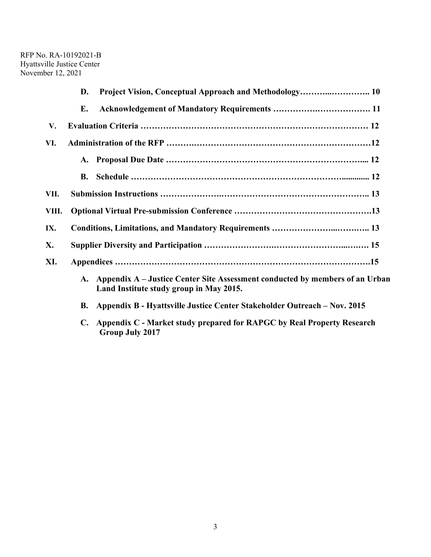|       | D. |                                                                                                                            |  |  |
|-------|----|----------------------------------------------------------------------------------------------------------------------------|--|--|
|       | Е. |                                                                                                                            |  |  |
| V.    |    |                                                                                                                            |  |  |
| VI.   |    |                                                                                                                            |  |  |
|       |    |                                                                                                                            |  |  |
|       |    |                                                                                                                            |  |  |
| VII.  |    |                                                                                                                            |  |  |
| VIII. |    |                                                                                                                            |  |  |
| IX.   |    |                                                                                                                            |  |  |
| X.    |    |                                                                                                                            |  |  |
| XI.   |    |                                                                                                                            |  |  |
|       |    | A. Appendix A – Justice Center Site Assessment conducted by members of an Urban<br>Land Institute study group in May 2015. |  |  |

- **B. Appendix B - Hyattsville Justice Center Stakeholder Outreach – Nov. 2015**
- **C. Appendix C - Market study prepared for RAPGC by Real Property Research Group July 2017**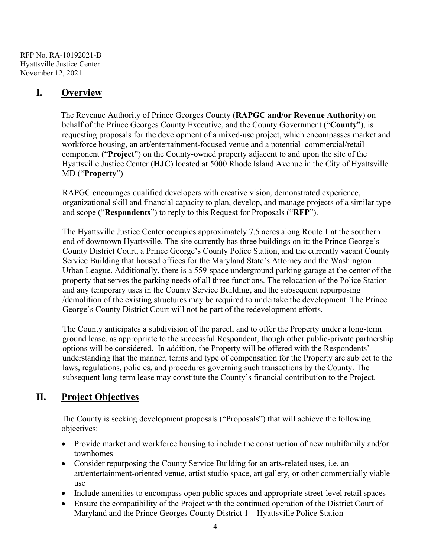# **I. Overview**

The Revenue Authority of Prince Georges County (**RAPGC and/or Revenue Authority**) on behalf of the Prince Georges County Executive, and the County Government ("**County**"), is requesting proposals for the development of a mixed-use project, which encompasses market and workforce housing, an art/entertainment-focused venue and a potential commercial/retail component ("**Project**") on the County-owned property adjacent to and upon the site of the Hyattsville Justice Center (**HJC**) located at 5000 Rhode Island Avenue in the City of Hyattsville MD ("**Property**")

RAPGC encourages qualified developers with creative vision, demonstrated experience, organizational skill and financial capacity to plan, develop, and manage projects of a similar type and scope ("**Respondents**") to reply to this Request for Proposals ("**RFP**").

The Hyattsville Justice Center occupies approximately 7.5 acres along Route 1 at the southern end of downtown Hyattsville. The site currently has three buildings on it: the Prince George's County District Court, a Prince George's County Police Station, and the currently vacant County Service Building that housed offices for the Maryland State's Attorney and the Washington Urban League. Additionally, there is a 559-space underground parking garage at the center of the property that serves the parking needs of all three functions. The relocation of the Police Station and any temporary uses in the County Service Building, and the subsequent repurposing /demolition of the existing structures may be required to undertake the development. The Prince George's County District Court will not be part of the redevelopment efforts.

The County anticipates a subdivision of the parcel, and to offer the Property under a long-term ground lease, as appropriate to the successful Respondent, though other public-private partnership options will be considered. In addition, the Property will be offered with the Respondents' understanding that the manner, terms and type of compensation for the Property are subject to the laws, regulations, policies, and procedures governing such transactions by the County. The subsequent long-term lease may constitute the County's financial contribution to the Project.

# **II. Project Objectives**

The County is seeking development proposals ("Proposals") that will achieve the following objectives:

- Provide market and workforce housing to include the construction of new multifamily and/or townhomes
- Consider repurposing the County Service Building for an arts-related uses, i.e. an art/entertainment-oriented venue, artist studio space, art gallery, or other commercially viable use
- Include amenities to encompass open public spaces and appropriate street-level retail spaces
- Ensure the compatibility of the Project with the continued operation of the District Court of Maryland and the Prince Georges County District 1 – Hyattsville Police Station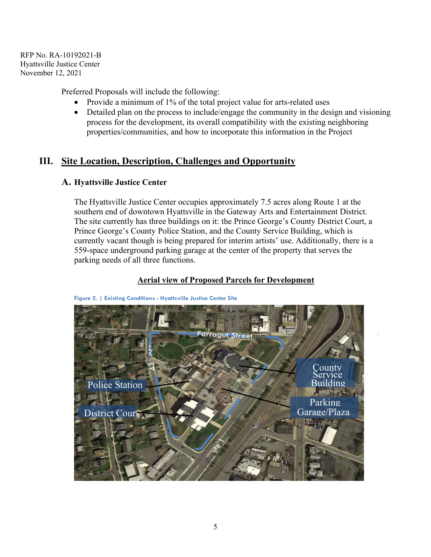Preferred Proposals will include the following:

- Provide a minimum of 1% of the total project value for arts-related uses
- Detailed plan on the process to include/engage the community in the design and visioning process for the development, its overall compatibility with the existing neighboring properties/communities, and how to incorporate this information in the Project

# **III. Site Location, Description, Challenges and Opportunity**

### **A. Hyattsville Justice Center**

The Hyattsville Justice Center occupies approximately 7.5 acres along Route 1 at the southern end of downtown Hyattsville in the Gateway Arts and Entertainment District. The site currently has three buildings on it: the Prince George's County District Court, a Prince George's County Police Station, and the County Service Building, which is currently vacant though is being prepared for interim artists' use. Additionally, there is a 559-space underground parking garage at the center of the property that serves the parking needs of all three functions.



#### **Aerial view of Proposed Parcels for Development**

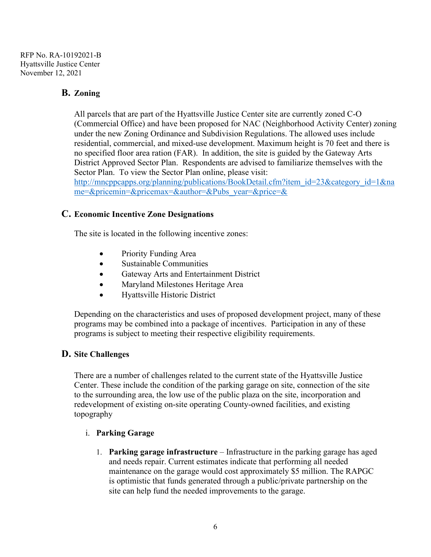### **B. Zoning**

All parcels that are part of the Hyattsville Justice Center site are currently zoned C-O (Commercial Office) and have been proposed for NAC (Neighborhood Activity Center) zoning under the new Zoning Ordinance and Subdivision Regulations. The allowed uses include residential, commercial, and mixed-use development. Maximum height is 70 feet and there is no specified floor area ration (FAR). In addition, the site is guided by the Gateway Arts District Approved Sector Plan. Respondents are advised to familiarize themselves with the Sector Plan. To view the Sector Plan online, please visit:

[http://mncppcapps.org/planning/publications/BookDetail.cfm?item\\_id=23&category\\_id=1&na](http://mncppcapps.org/planning/publications/BookDetail.cfm?item_id=23&category_id=1&name=&pricemin=&pricemax=&author=&Pubs_year=&price=&) [me=&pricemin=&pricemax=&author=&Pubs\\_year=&price=&](http://mncppcapps.org/planning/publications/BookDetail.cfm?item_id=23&category_id=1&name=&pricemin=&pricemax=&author=&Pubs_year=&price=&)

#### **C. Economic Incentive Zone Designations**

The site is located in the following incentive zones:

- Priority Funding Area
- Sustainable Communities
- Gateway Arts and Entertainment District
- Maryland Milestones Heritage Area
- Hyattsville Historic District

Depending on the characteristics and uses of proposed development project, many of these programs may be combined into a package of incentives. Participation in any of these programs is subject to meeting their respective eligibility requirements.

### **D. Site Challenges**

There are a number of challenges related to the current state of the Hyattsville Justice Center. These include the condition of the parking garage on site, connection of the site to the surrounding area, the low use of the public plaza on the site, incorporation and redevelopment of existing on-site operating County-owned facilities, and existing topography

#### i. **Parking Garage**

1. **Parking garage infrastructure** – Infrastructure in the parking garage has aged and needs repair. Current estimates indicate that performing all needed maintenance on the garage would cost approximately \$5 million. The RAPGC is optimistic that funds generated through a public/private partnership on the site can help fund the needed improvements to the garage.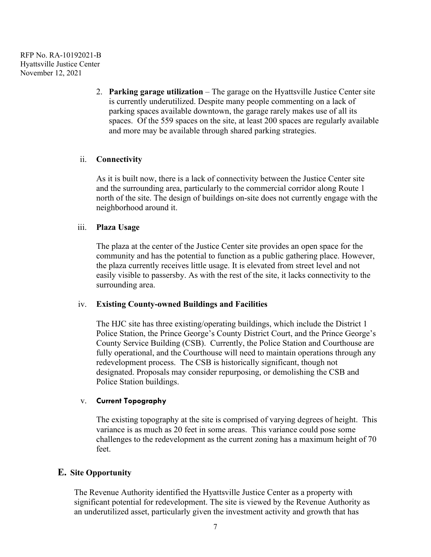> 2. **Parking garage utilization** – The garage on the Hyattsville Justice Center site is currently underutilized. Despite many people commenting on a lack of parking spaces available downtown, the garage rarely makes use of all its spaces. Of the 559 spaces on the site, at least 200 spaces are regularly available and more may be available through shared parking strategies.

#### ii. **Connectivity**

As it is built now, there is a lack of connectivity between the Justice Center site and the surrounding area, particularly to the commercial corridor along Route 1 north of the site. The design of buildings on-site does not currently engage with the neighborhood around it.

#### iii. **Plaza Usage**

The plaza at the center of the Justice Center site provides an open space for the community and has the potential to function as a public gathering place. However, the plaza currently receives little usage. It is elevated from street level and not easily visible to passersby. As with the rest of the site, it lacks connectivity to the surrounding area.

#### iv. **Existing County-owned Buildings and Facilities**

The HJC site has three existing/operating buildings, which include the District 1 Police Station, the Prince George's County District Court, and the Prince George's County Service Building (CSB). Currently, the Police Station and Courthouse are fully operational, and the Courthouse will need to maintain operations through any redevelopment process. The CSB is historically significant, though not designated. Proposals may consider repurposing, or demolishing the CSB and Police Station buildings.

#### v. **Current Topography**

The existing topography at the site is comprised of varying degrees of height. This variance is as much as 20 feet in some areas. This variance could pose some challenges to the redevelopment as the current zoning has a maximum height of 70 feet.

### **E. Site Opportunity**

The Revenue Authority identified the Hyattsville Justice Center as a property with significant potential for redevelopment. The site is viewed by the Revenue Authority as an underutilized asset, particularly given the investment activity and growth that has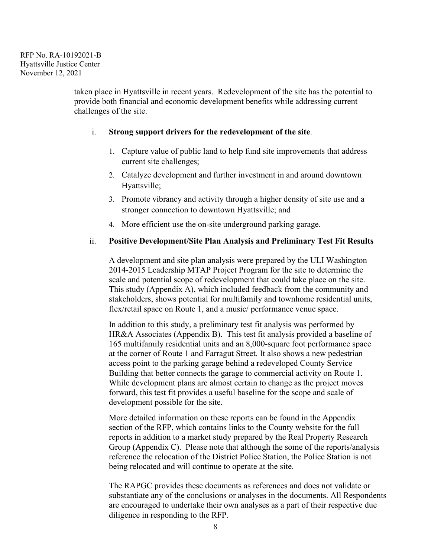taken place in Hyattsville in recent years. Redevelopment of the site has the potential to provide both financial and economic development benefits while addressing current challenges of the site.

#### i. **Strong support drivers for the redevelopment of the site**.

- 1. Capture value of public land to help fund site improvements that address current site challenges;
- 2. Catalyze development and further investment in and around downtown Hyattsville;
- 3. Promote vibrancy and activity through a higher density of site use and a stronger connection to downtown Hyattsville; and
- 4. More efficient use the on-site underground parking garage.

#### ii. **Positive Development/Site Plan Analysis and Preliminary Test Fit Results**

A development and site plan analysis were prepared by the ULI Washington 2014-2015 Leadership MTAP Project Program for the site to determine the scale and potential scope of redevelopment that could take place on the site. This study (Appendix A), which included feedback from the community and stakeholders, shows potential for multifamily and townhome residential units, flex/retail space on Route 1, and a music/ performance venue space.

In addition to this study, a preliminary test fit analysis was performed by HR&A Associates (Appendix B). This test fit analysis provided a baseline of 165 multifamily residential units and an 8,000-square foot performance space at the corner of Route 1 and Farragut Street. It also shows a new pedestrian access point to the parking garage behind a redeveloped County Service Building that better connects the garage to commercial activity on Route 1. While development plans are almost certain to change as the project moves forward, this test fit provides a useful baseline for the scope and scale of development possible for the site.

More detailed information on these reports can be found in the Appendix section of the RFP, which contains links to the County website for the full reports in addition to a market study prepared by the Real Property Research Group (Appendix C). Please note that although the some of the reports/analysis reference the relocation of the District Police Station, the Police Station is not being relocated and will continue to operate at the site.

The RAPGC provides these documents as references and does not validate or substantiate any of the conclusions or analyses in the documents. All Respondents are encouraged to undertake their own analyses as a part of their respective due diligence in responding to the RFP.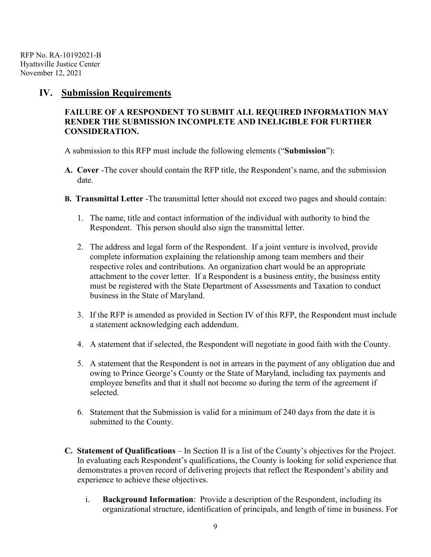### **IV. Submission Requirements**

### **FAILURE OF A RESPONDENT TO SUBMIT ALL REQUIRED INFORMATION MAY RENDER THE SUBMISSION INCOMPLETE AND INELIGIBLE FOR FURTHER CONSIDERATION.**

A submission to this RFP must include the following elements ("**Submission**"):

- **A. Cover** -The cover should contain the RFP title, the Respondent's name, and the submission date.
- **B. Transmittal Letter** -The transmittal letter should not exceed two pages and should contain:
	- 1. The name, title and contact information of the individual with authority to bind the Respondent. This person should also sign the transmittal letter.
	- 2. The address and legal form of the Respondent. If a joint venture is involved, provide complete information explaining the relationship among team members and their respective roles and contributions. An organization chart would be an appropriate attachment to the cover letter. If a Respondent is a business entity, the business entity must be registered with the State Department of Assessments and Taxation to conduct business in the State of Maryland.
	- 3. If the RFP is amended as provided in Section IV of this RFP, the Respondent must include a statement acknowledging each addendum.
	- 4. A statement that if selected, the Respondent will negotiate in good faith with the County.
	- 5. A statement that the Respondent is not in arrears in the payment of any obligation due and owing to Prince George's County or the State of Maryland, including tax payments and employee benefits and that it shall not become so during the term of the agreement if selected.
	- 6. Statement that the Submission is valid for a minimum of 240 days from the date it is submitted to the County.
- **C. Statement of Qualifications**  In Section II is a list of the County's objectives for the Project. In evaluating each Respondent's qualifications, the County is looking for solid experience that demonstrates a proven record of delivering projects that reflect the Respondent's ability and experience to achieve these objectives.
	- i. **Background Information**: Provide a description of the Respondent, including its organizational structure, identification of principals, and length of time in business. For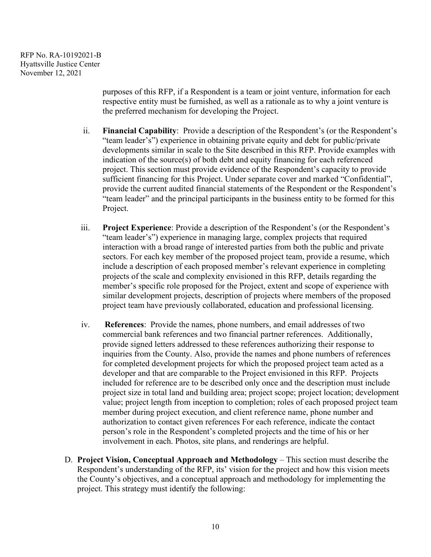purposes of this RFP, if a Respondent is a team or joint venture, information for each respective entity must be furnished, as well as a rationale as to why a joint venture is the preferred mechanism for developing the Project.

- ii. **Financial Capability**: Provide a description of the Respondent's (or the Respondent's "team leader's") experience in obtaining private equity and debt for public/private developments similar in scale to the Site described in this RFP. Provide examples with indication of the source(s) of both debt and equity financing for each referenced project. This section must provide evidence of the Respondent's capacity to provide sufficient financing for this Project. Under separate cover and marked "Confidential", provide the current audited financial statements of the Respondent or the Respondent's "team leader" and the principal participants in the business entity to be formed for this Project.
- iii. **Project Experience**: Provide a description of the Respondent's (or the Respondent's "team leader's") experience in managing large, complex projects that required interaction with a broad range of interested parties from both the public and private sectors. For each key member of the proposed project team, provide a resume, which include a description of each proposed member's relevant experience in completing projects of the scale and complexity envisioned in this RFP, details regarding the member's specific role proposed for the Project, extent and scope of experience with similar development projects, description of projects where members of the proposed project team have previously collaborated, education and professional licensing.
- iv. **References**: Provide the names, phone numbers, and email addresses of two commercial bank references and two financial partner references. Additionally, provide signed letters addressed to these references authorizing their response to inquiries from the County. Also, provide the names and phone numbers of references for completed development projects for which the proposed project team acted as a developer and that are comparable to the Project envisioned in this RFP. Projects included for reference are to be described only once and the description must include project size in total land and building area; project scope; project location; development value; project length from inception to completion; roles of each proposed project team member during project execution, and client reference name, phone number and authorization to contact given references For each reference, indicate the contact person's role in the Respondent's completed projects and the time of his or her involvement in each. Photos, site plans, and renderings are helpful.
- D. **Project Vision, Conceptual Approach and Methodology** This section must describe the Respondent's understanding of the RFP, its' vision for the project and how this vision meets the County's objectives, and a conceptual approach and methodology for implementing the project. This strategy must identify the following: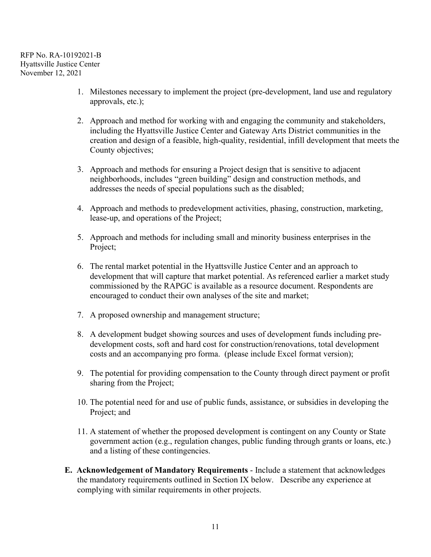- 1. Milestones necessary to implement the project (pre-development, land use and regulatory approvals, etc.);
- 2. Approach and method for working with and engaging the community and stakeholders, including the Hyattsville Justice Center and Gateway Arts District communities in the creation and design of a feasible, high-quality, residential, infill development that meets the County objectives;
- 3. Approach and methods for ensuring a Project design that is sensitive to adjacent neighborhoods, includes "green building" design and construction methods, and addresses the needs of special populations such as the disabled;
- 4. Approach and methods to predevelopment activities, phasing, construction, marketing, lease-up, and operations of the Project;
- 5. Approach and methods for including small and minority business enterprises in the Project;
- 6. The rental market potential in the Hyattsville Justice Center and an approach to development that will capture that market potential. As referenced earlier a market study commissioned by the RAPGC is available as a resource document. Respondents are encouraged to conduct their own analyses of the site and market;
- 7. A proposed ownership and management structure;
- 8. A development budget showing sources and uses of development funds including predevelopment costs, soft and hard cost for construction/renovations, total development costs and an accompanying pro forma. (please include Excel format version);
- 9. The potential for providing compensation to the County through direct payment or profit sharing from the Project;
- 10. The potential need for and use of public funds, assistance, or subsidies in developing the Project; and
- 11. A statement of whether the proposed development is contingent on any County or State government action (e.g., regulation changes, public funding through grants or loans, etc.) and a listing of these contingencies.
- **E. Acknowledgement of Mandatory Requirements** Include a statement that acknowledges the mandatory requirements outlined in Section IX below. Describe any experience at complying with similar requirements in other projects.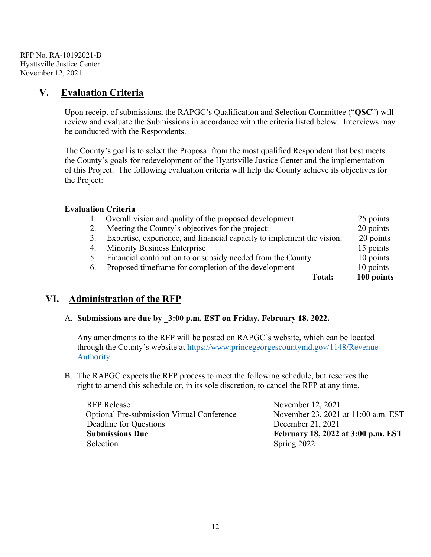# **V. Evaluation Criteria**

Upon receipt of submissions, the RAPGC's Qualification and Selection Committee ("**QSC**") will review and evaluate the Submissions in accordance with the criteria listed below. Interviews may be conducted with the Respondents.

The County's goal is to select the Proposal from the most qualified Respondent that best meets the County's goals for redevelopment of the Hyattsville Justice Center and the implementation of this Project. The following evaluation criteria will help the County achieve its objectives for the Project:

#### **Evaluation Criteria**

|    | Overall vision and quality of the proposed development.                | 25 points   |
|----|------------------------------------------------------------------------|-------------|
|    | Meeting the County's objectives for the project:                       | 20 points   |
| 3. | Expertise, experience, and financial capacity to implement the vision: | 20 points   |
| 4. | <b>Minority Business Enterprise</b>                                    | 15 points   |
|    | Financial contribution to or subsidy needed from the County            | 10 points   |
| 6. | Proposed timeframe for completion of the development                   | $10$ points |
|    | Total:                                                                 | 100 points  |
|    |                                                                        |             |

# **VI. Administration of the RFP**

### A. **Submissions are due by \_3:00 p.m. EST on Friday, February 18, 2022.**

Any amendments to the RFP will be posted on RAPGC's website, which can be located through the County's website at [https://www.princegeorgescountymd.gov/1148/Revenue-](https://www.princegeorgescountymd.gov/1148/Revenue-Authority)[Authority](https://www.princegeorgescountymd.gov/1148/Revenue-Authority)

B. The RAPGC expects the RFP process to meet the following schedule, but reserves the right to amend this schedule or, in its sole discretion, to cancel the RFP at any time.

RFP Release Movember 12, 2021<br>
Optional Pre-submission Virtual Conference November 23, 2021 at 11:00 a.m. EST Optional Pre-submission Virtual Conference Deadline for Questions December 21, 2021 **Submissions Due February 18, 2022 at 3:00 p.m. EST** Selection Spring 2022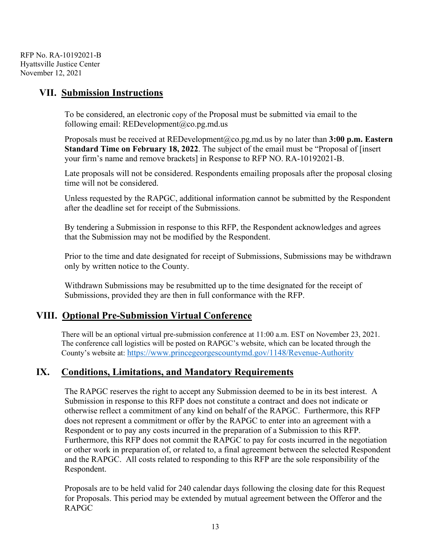# **VII. Submission Instructions**

To be considered, an electronic copy of the Proposal must be submitted via email to the following email: [REDevelopment@co.pg.md.us](mailto:REDevelopment@co.pg.md.us)

Proposals must be received at REDevelopment@co.pg.md.us by no later than **3:00 p.m. Eastern Standard Time on February 18, 2022**. The subject of the email must be "Proposal of [insert your firm's name and remove brackets] in Response to RFP NO. RA-10192021-B.

Late proposals will not be considered. Respondents emailing proposals after the proposal closing time will not be considered.

Unless requested by the RAPGC, additional information cannot be submitted by the Respondent after the deadline set for receipt of the Submissions.

By tendering a Submission in response to this RFP, the Respondent acknowledges and agrees that the Submission may not be modified by the Respondent.

Prior to the time and date designated for receipt of Submissions, Submissions may be withdrawn only by written notice to the County.

Withdrawn Submissions may be resubmitted up to the time designated for the receipt of Submissions, provided they are then in full conformance with the RFP.

# **VIII. Optional Pre-Submission Virtual Conference**

There will be an optional virtual pre-submission conference at 11:00 a.m. EST on November 23, 2021. The conference call logistics will be posted on RAPGC's website, which can be located through the County's website at:<https://www.princegeorgescountymd.gov/1148/Revenue-Authority>

# **IX. Conditions, Limitations, and Mandatory Requirements**

The RAPGC reserves the right to accept any Submission deemed to be in its best interest. A Submission in response to this RFP does not constitute a contract and does not indicate or otherwise reflect a commitment of any kind on behalf of the RAPGC. Furthermore, this RFP does not represent a commitment or offer by the RAPGC to enter into an agreement with a Respondent or to pay any costs incurred in the preparation of a Submission to this RFP. Furthermore, this RFP does not commit the RAPGC to pay for costs incurred in the negotiation or other work in preparation of, or related to, a final agreement between the selected Respondent and the RAPGC. All costs related to responding to this RFP are the sole responsibility of the Respondent.

Proposals are to be held valid for 240 calendar days following the closing date for this Request for Proposals. This period may be extended by mutual agreement between the Offeror and the RAPGC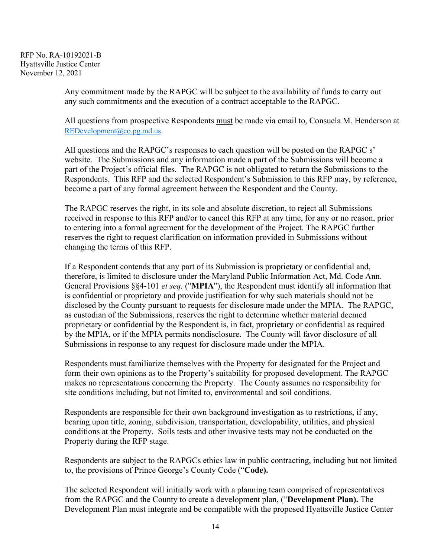> Any commitment made by the RAPGC will be subject to the availability of funds to carry out any such commitments and the execution of a contract acceptable to the RAPGC.

All questions from prospective Respondents must be made via email to, Consuela M. Henderson at [REDevelopment@co.pg.md.us.](mailto:REDevelopment@co.pg.md.us)

All questions and the RAPGC's responses to each question will be posted on the RAPGC s' website. The Submissions and any information made a part of the Submissions will become a part of the Project's official files. The RAPGC is not obligated to return the Submissions to the Respondents. This RFP and the selected Respondent's Submission to this RFP may, by reference, become a part of any formal agreement between the Respondent and the County.

The RAPGC reserves the right, in its sole and absolute discretion, to reject all Submissions received in response to this RFP and/or to cancel this RFP at any time, for any or no reason, prior to entering into a formal agreement for the development of the Project. The RAPGC further reserves the right to request clarification on information provided in Submissions without changing the terms of this RFP.

If a Respondent contends that any part of its Submission is proprietary or confidential and, therefore, is limited to disclosure under the Maryland Public Information Act, Md. Code Ann. General Provisions §§4-101 *et seq.* ("**MPIA**"), the Respondent must identify all information that is confidential or proprietary and provide justification for why such materials should not be disclosed by the County pursuant to requests for disclosure made under the MPIA. The RAPGC, as custodian of the Submissions, reserves the right to determine whether material deemed proprietary or confidential by the Respondent is, in fact, proprietary or confidential as required by the MPIA, or if the MPIA permits nondisclosure. The County will favor disclosure of all Submissions in response to any request for disclosure made under the MPIA.

Respondents must familiarize themselves with the Property for designated for the Project and form their own opinions as to the Property's suitability for proposed development. The RAPGC makes no representations concerning the Property. The County assumes no responsibility for site conditions including, but not limited to, environmental and soil conditions.

Respondents are responsible for their own background investigation as to restrictions, if any, bearing upon title, zoning, subdivision, transportation, developability, utilities, and physical conditions at the Property. Soils tests and other invasive tests may not be conducted on the Property during the RFP stage.

Respondents are subject to the RAPGCs ethics law in public contracting, including but not limited to, the provisions of Prince George's County Code ("**Code).** 

The selected Respondent will initially work with a planning team comprised of representatives from the RAPGC and the County to create a development plan, ("**Development Plan).** The Development Plan must integrate and be compatible with the proposed Hyattsville Justice Center